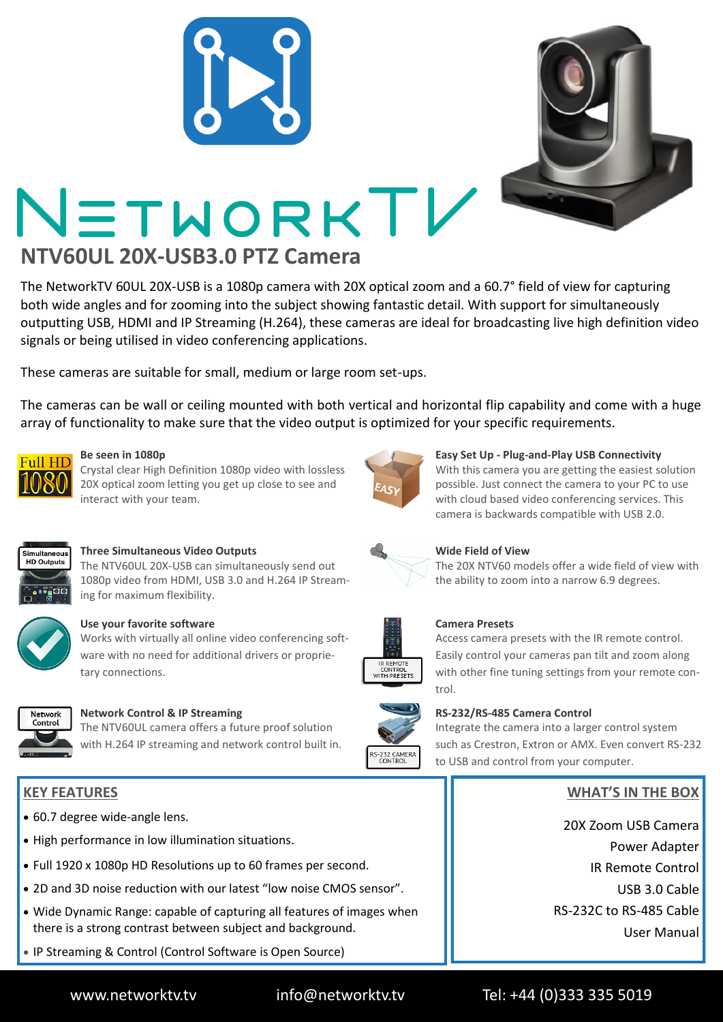

The NetworkTV 60UL 20X-USB is a 1080p camera with 20X optical zoom and a 60.7° field of view for capturing both wide angles and for zooming into the subject showing fantastic detail. With support for simultaneously outputting USB, HDMI and IP Streaming (H.264), these cameras are ideal for broadcasting live high definition video signals or being utilised in video conferencing applications.

These cameras are suitable for small, medium or large room set-ups.

The cameras can be wall or ceiling mounted with both vertical and horizontal flip capability and come with a huge array of functionality to make sure that the video output is optimized for your specific requirements.



### **Be seen in 1080p**

Crystal clear High Definition 1080p video with lossless 20X optical zoom letting you get up close to see and interact with your team.



## **Three Simultaneous Video Outputs**

The NTV60UL 20X-USB can simultaneously send out 1080p video from HDMI, USB 3.0 and H.264 IP Streaming for maximum flexibility.



## **Use your favorite software**

Works with virtually all online video conferencing software with no need for additional drivers or proprietary connections.



### **Network Control & IP Streaming**

The NTV60UL camera offers a future proof solution with H.264 IP streaming and network control built in.

# **KEY FEATURES**

- 60.7 degree wide-angle lens.
- High performance in low illumination situations.
- Full 1920 x 1080p HD Resolutions up to 60 frames per second.
- 2D and 3D noise reduction with our latest "low noise CMOS sensor".
- Wide Dynamic Range: capable of capturing all features of images when there is a strong contrast between subject and background.
- IP Streaming & Control (Control Software is Open Source)



#### **Easy Set Up - Plug-and-Play USB Connectivity**

With this camera you are getting the easiest solution possible. Just connect the camera to your PC to use with cloud based video conferencing services. This camera is backwards compatible with USB 2.0.



### **Wide Field of View**

The 20X NTV60 models offer a wide field of view with the ability to zoom into a narrow 6.9 degrees.



S-232 CAMERA

#### **Camera Presets**

Access camera presets with the IR remote control. Easily control your cameras pan tilt and zoom along with other fine tuning settings from your remote control.

### **RS-232/RS-485 Camera Control**

Integrate the camera into a larger control system such as Crestron, Extron or AMX. Even convert RS-232 to USB and control from your computer.

# **WHAT'S IN THE BOX**

20X Zoom USB Camera Power Adapter IR Remote Control USB 3.0 Cable RS-232C to RS-485 Cable User Manual

www.networktv.tv info@networktv.tv Tel: +44 (0)333 335 5019